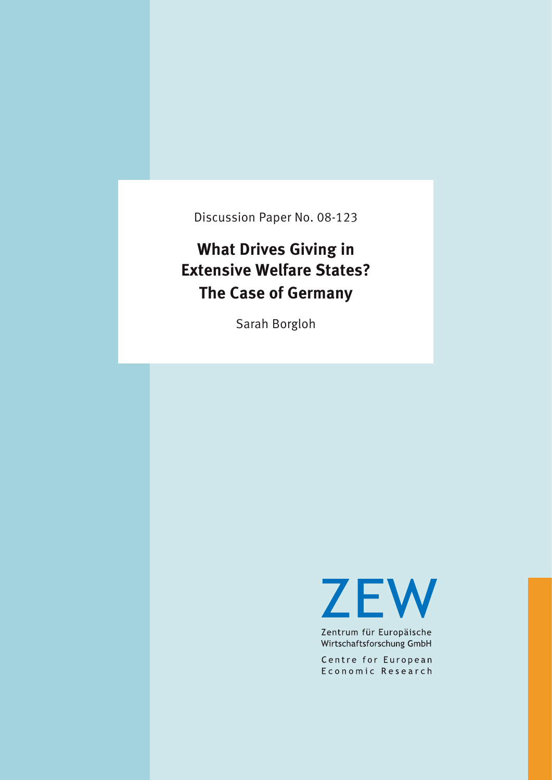Discussion Paper No. 08-123

# **What Drives Giving in Extensive Weblet States? The Case of Germany**

Sarah Borgloh

**ZEW** 

Zentrum für Europäische Wirtschaftsforschung GmbH

Centre for European Economic Research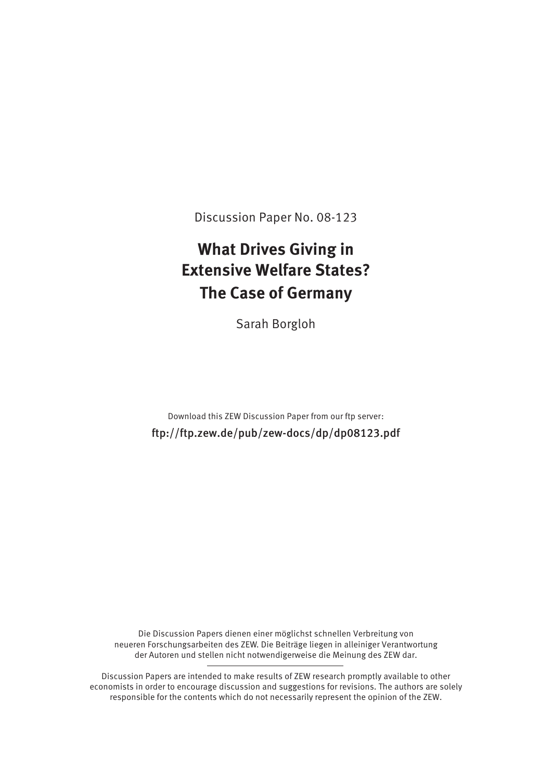Discussion Paper No. 08-123

# **What Drives Giving in<br><b>Extensive Welfare States? Extensive Weblet States? The Case of Germany**

Sarah Borgloh

ftp://ftp.zew.de/pub/zew-docs/dp/dp08123.pdf

Die Discussion Papers dienen einer möglichst schnellen Verbreitung von neueren Forschungsarbeiten des ZEW. Die Beiträge liegen in alleiniger Verantwortung neue ren Formanneue ren Formanneue ren Formanneue ren des ZEW. Die generalleiten des ZEW. Die generalisation e der Auto ren und stel len nicht not wen di ger wei se die Mei nung des ZEW dar.

Discussion Papers are intended to make results of ZEW research promptly available to other economists in order to encourage discussion and suggestions for revisions. The authors are solely  $\epsilon$  responsible for the contents which do not necessarily represent the opinion of the ZEW respon si ble for the con tents which do not neces sa ri ly repre sent the opi ni on of the ZEW.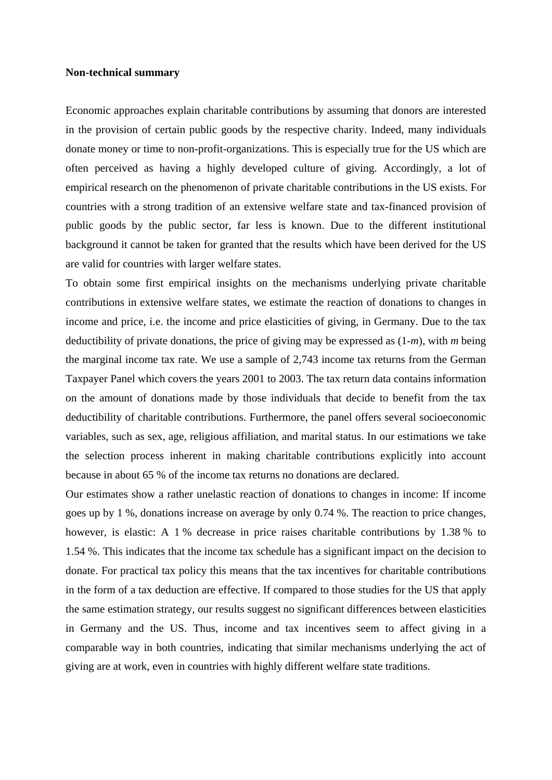# **Non-technical summary**

Economic approaches explain charitable contributions by assuming that donors are interested in the provision of certain public goods by the respective charity. Indeed, many individuals donate money or time to non-profit-organizations. This is especially true for the US which are often perceived as having a highly developed culture of giving. Accordingly, a lot of empirical research on the phenomenon of private charitable contributions in the US exists. For countries with a strong tradition of an extensive welfare state and tax-financed provision of public goods by the public sector, far less is known. Due to the different institutional background it cannot be taken for granted that the results which have been derived for the US are valid for countries with larger welfare states.

To obtain some first empirical insights on the mechanisms underlying private charitable contributions in extensive welfare states, we estimate the reaction of donations to changes in income and price, i.e. the income and price elasticities of giving, in Germany. Due to the tax deductibility of private donations, the price of giving may be expressed as (1-*m*), with *m* being the marginal income tax rate. We use a sample of 2,743 income tax returns from the German Taxpayer Panel which covers the years 2001 to 2003. The tax return data contains information on the amount of donations made by those individuals that decide to benefit from the tax deductibility of charitable contributions. Furthermore, the panel offers several socioeconomic variables, such as sex, age, religious affiliation, and marital status. In our estimations we take the selection process inherent in making charitable contributions explicitly into account because in about 65 % of the income tax returns no donations are declared.

Our estimates show a rather unelastic reaction of donations to changes in income: If income goes up by 1 %, donations increase on average by only 0.74 %. The reaction to price changes, however, is elastic: A 1 % decrease in price raises charitable contributions by 1.38 % to 1.54 %. This indicates that the income tax schedule has a significant impact on the decision to donate. For practical tax policy this means that the tax incentives for charitable contributions in the form of a tax deduction are effective. If compared to those studies for the US that apply the same estimation strategy, our results suggest no significant differences between elasticities in Germany and the US. Thus, income and tax incentives seem to affect giving in a comparable way in both countries, indicating that similar mechanisms underlying the act of giving are at work, even in countries with highly different welfare state traditions.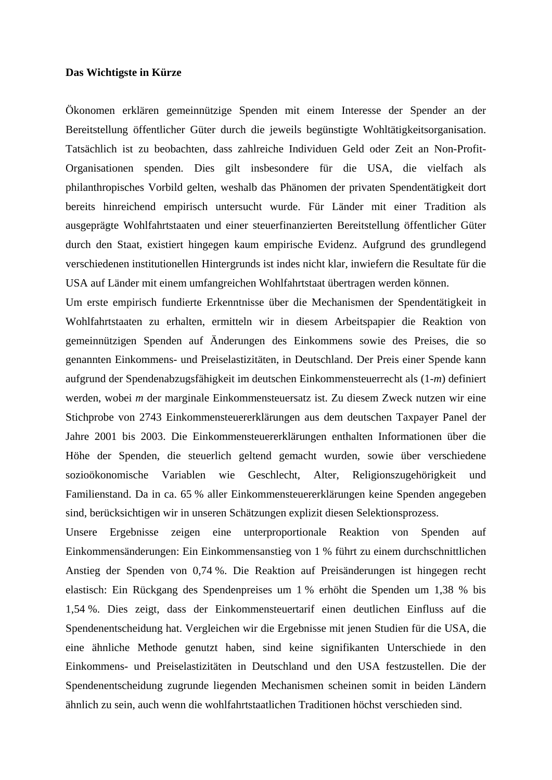# **Das Wichtigste in Kürze**

Ökonomen erklären gemeinnützige Spenden mit einem Interesse der Spender an der Bereitstellung öffentlicher Güter durch die jeweils begünstigte Wohltätigkeitsorganisation. Tatsächlich ist zu beobachten, dass zahlreiche Individuen Geld oder Zeit an Non-Profit-Organisationen spenden. Dies gilt insbesondere für die USA, die vielfach als philanthropisches Vorbild gelten, weshalb das Phänomen der privaten Spendentätigkeit dort bereits hinreichend empirisch untersucht wurde. Für Länder mit einer Tradition als ausgeprägte Wohlfahrtstaaten und einer steuerfinanzierten Bereitstellung öffentlicher Güter durch den Staat, existiert hingegen kaum empirische Evidenz. Aufgrund des grundlegend verschiedenen institutionellen Hintergrunds ist indes nicht klar, inwiefern die Resultate für die USA auf Länder mit einem umfangreichen Wohlfahrtstaat übertragen werden können.

Um erste empirisch fundierte Erkenntnisse über die Mechanismen der Spendentätigkeit in Wohlfahrtstaaten zu erhalten, ermitteln wir in diesem Arbeitspapier die Reaktion von gemeinnützigen Spenden auf Änderungen des Einkommens sowie des Preises, die so genannten Einkommens- und Preiselastizitäten, in Deutschland. Der Preis einer Spende kann aufgrund der Spendenabzugsfähigkeit im deutschen Einkommensteuerrecht als (1-*m*) definiert werden, wobei *m* der marginale Einkommensteuersatz ist. Zu diesem Zweck nutzen wir eine Stichprobe von 2743 Einkommensteuererklärungen aus dem deutschen Taxpayer Panel der Jahre 2001 bis 2003. Die Einkommensteuererklärungen enthalten Informationen über die Höhe der Spenden, die steuerlich geltend gemacht wurden, sowie über verschiedene sozioökonomische Variablen wie Geschlecht, Alter, Religionszugehörigkeit und Familienstand. Da in ca. 65 % aller Einkommensteuererklärungen keine Spenden angegeben sind, berücksichtigen wir in unseren Schätzungen explizit diesen Selektionsprozess.

Unsere Ergebnisse zeigen eine unterproportionale Reaktion von Spenden auf Einkommensänderungen: Ein Einkommensanstieg von 1 % führt zu einem durchschnittlichen Anstieg der Spenden von 0,74 %. Die Reaktion auf Preisänderungen ist hingegen recht elastisch: Ein Rückgang des Spendenpreises um 1 % erhöht die Spenden um 1,38 % bis 1,54 %. Dies zeigt, dass der Einkommensteuertarif einen deutlichen Einfluss auf die Spendenentscheidung hat. Vergleichen wir die Ergebnisse mit jenen Studien für die USA, die eine ähnliche Methode genutzt haben, sind keine signifikanten Unterschiede in den Einkommens- und Preiselastizitäten in Deutschland und den USA festzustellen. Die der Spendenentscheidung zugrunde liegenden Mechanismen scheinen somit in beiden Ländern ähnlich zu sein, auch wenn die wohlfahrtstaatlichen Traditionen höchst verschieden sind.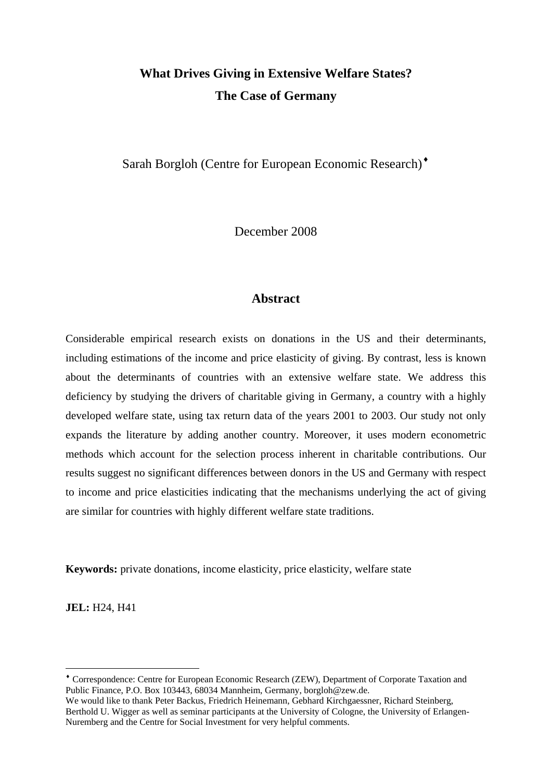# **What Drives Giving in Extensive Welfare States? The Case of Germany**

Sarah Borgloh (Centre for European Economic Research)<sup>•</sup>

December 2008

# **Abstract**

Considerable empirical research exists on donations in the US and their determinants, including estimations of the income and price elasticity of giving. By contrast, less is known about the determinants of countries with an extensive welfare state. We address this deficiency by studying the drivers of charitable giving in Germany, a country with a highly developed welfare state, using tax return data of the years 2001 to 2003. Our study not only expands the literature by adding another country. Moreover, it uses modern econometric methods which account for the selection process inherent in charitable contributions. Our results suggest no significant differences between donors in the US and Germany with respect to income and price elasticities indicating that the mechanisms underlying the act of giving are similar for countries with highly different welfare state traditions.

**Keywords:** private donations, income elasticity, price elasticity, welfare state

**JEL:** H24, H41

<u>.</u>

<span id="page-4-0"></span><sup>♦</sup> Correspondence: Centre for European Economic Research (ZEW), Department of Corporate Taxation and Public Finance, P.O. Box 103443, 68034 Mannheim, Germany, [borgloh@zew.de.](mailto:borgloh@zew.de)

We would like to thank Peter Backus, Friedrich Heinemann, Gebhard Kirchgaessner, Richard Steinberg, Berthold U. Wigger as well as seminar participants at the University of Cologne, the University of Erlangen-Nuremberg and the Centre for Social Investment for very helpful comments.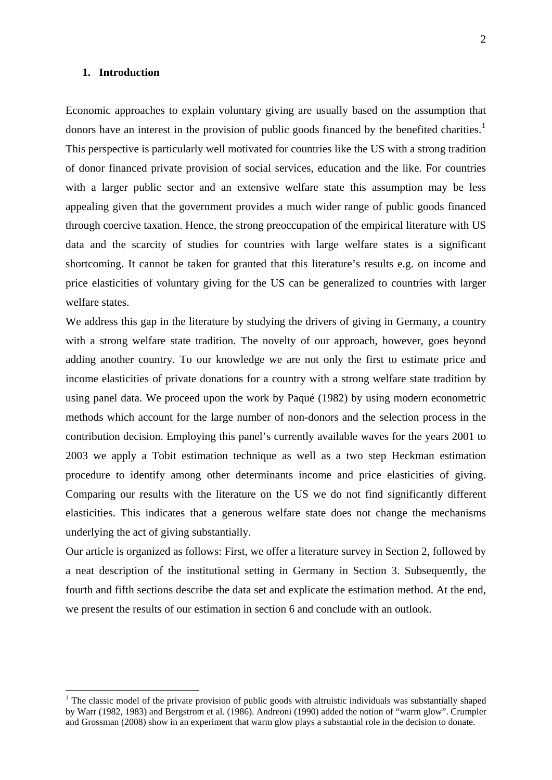# **1. Introduction**

1

Economic approaches to explain voluntary giving are usually based on the assumption that donors have an interest in the provision of public goods financed by the benefited charities.<sup>[1](#page-5-0)</sup> This perspective is particularly well motivated for countries like the US with a strong tradition of donor financed private provision of social services, education and the like. For countries with a larger public sector and an extensive welfare state this assumption may be less appealing given that the government provides a much wider range of public goods financed through coercive taxation. Hence, the strong preoccupation of the empirical literature with US data and the scarcity of studies for countries with large welfare states is a significant shortcoming. It cannot be taken for granted that this literature's results e.g. on income and price elasticities of voluntary giving for the US can be generalized to countries with larger welfare states.

We address this gap in the literature by studying the drivers of giving in Germany, a country with a strong welfare state tradition. The novelty of our approach, however, goes beyond adding another country. To our knowledge we are not only the first to estimate price and income elasticities of private donations for a country with a strong welfare state tradition by using panel data. We proceed upon the work by Paqué (1982) by using modern econometric methods which account for the large number of non-donors and the selection process in the contribution decision. Employing this panel's currently available waves for the years 2001 to 2003 we apply a Tobit estimation technique as well as a two step Heckman estimation procedure to identify among other determinants income and price elasticities of giving. Comparing our results with the literature on the US we do not find significantly different elasticities. This indicates that a generous welfare state does not change the mechanisms underlying the act of giving substantially.

Our article is organized as follows: First, we offer a literature survey in Section 2, followed by a neat description of the institutional setting in Germany in Section 3. Subsequently, the fourth and fifth sections describe the data set and explicate the estimation method. At the end, we present the results of our estimation in section 6 and conclude with an outlook.

<span id="page-5-0"></span> $1$  The classic model of the private provision of public goods with altruistic individuals was substantially shaped by Warr (1982, 1983) and Bergstrom et al. (1986). Andreoni (1990) added the notion of "warm glow". Crumpler and Grossman (2008) show in an experiment that warm glow plays a substantial role in the decision to donate.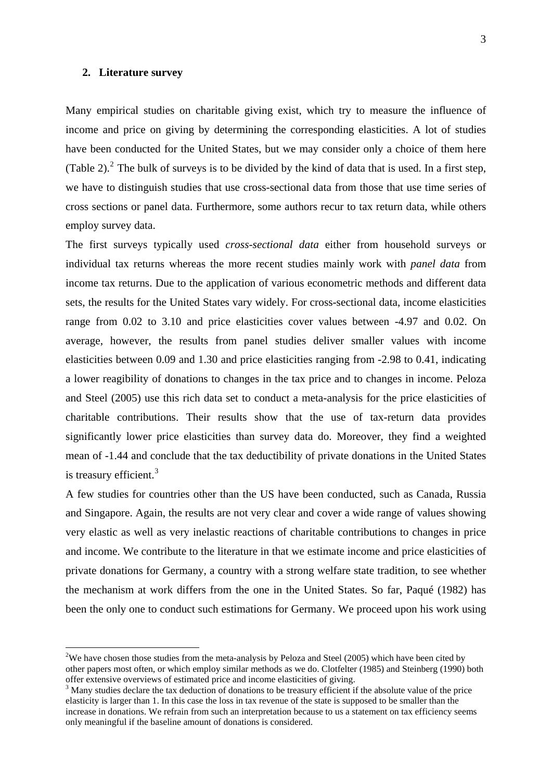#### **2. Literature survey**

1

Many empirical studies on charitable giving exist, which try to measure the influence of income and price on giving by determining the corresponding elasticities. A lot of studies have been conducted for the United States, but we may consider only a choice of them here (Table [2](#page-6-0)). $^2$  The bulk of surveys is to be divided by the kind of data that is used. In a first step, we have to distinguish studies that use cross-sectional data from those that use time series of cross sections or panel data. Furthermore, some authors recur to tax return data, while others employ survey data.

The first surveys typically used *cross-sectional data* either from household surveys or individual tax returns whereas the more recent studies mainly work with *panel data* from income tax returns. Due to the application of various econometric methods and different data sets, the results for the United States vary widely. For cross-sectional data, income elasticities range from 0.02 to 3.10 and price elasticities cover values between -4.97 and 0.02. On average, however, the results from panel studies deliver smaller values with income elasticities between 0.09 and 1.30 and price elasticities ranging from -2.98 to 0.41, indicating a lower reagibility of donations to changes in the tax price and to changes in income. Peloza and Steel (2005) use this rich data set to conduct a meta-analysis for the price elasticities of charitable contributions. Their results show that the use of tax-return data provides significantly lower price elasticities than survey data do. Moreover, they find a weighted mean of -1.44 and conclude that the tax deductibility of private donations in the United States is treasury efficient.<sup>[3](#page-6-1)</sup>

A few studies for countries other than the US have been conducted, such as Canada, Russia and Singapore. Again, the results are not very clear and cover a wide range of values showing very elastic as well as very inelastic reactions of charitable contributions to changes in price and income. We contribute to the literature in that we estimate income and price elasticities of private donations for Germany, a country with a strong welfare state tradition, to see whether the mechanism at work differs from the one in the United States. So far, Paqué (1982) has been the only one to conduct such estimations for Germany. We proceed upon his work using

<span id="page-6-0"></span><sup>&</sup>lt;sup>2</sup>We have chosen those studies from the meta-analysis by Peloza and Steel (2005) which have been cited by other papers most often, or which employ similar methods as we do. Clotfelter (1985) and Steinberg (1990) both offer extensive overviews of estimated price and income elasticities of giving.

<span id="page-6-1"></span><sup>&</sup>lt;sup>3</sup> Many studies declare the tax deduction of donations to be treasury efficient if the absolute value of the price elasticity is larger than 1. In this case the loss in tax revenue of the state is supposed to be smaller than the increase in donations. We refrain from such an interpretation because to us a statement on tax efficiency seems only meaningful if the baseline amount of donations is considered.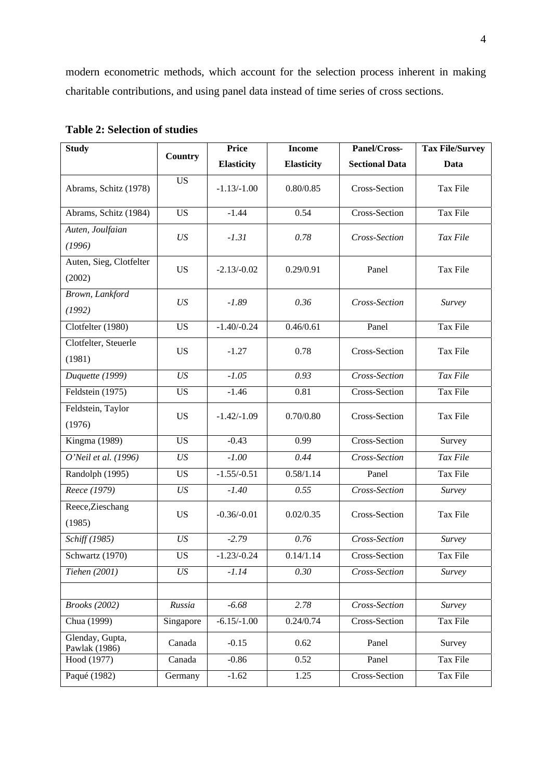modern econometric methods, which account for the selection process inherent in making charitable contributions, and using panel data instead of time series of cross sections.

| <b>Study</b>                      |                | <b>Price</b>      | <b>Income</b>     | Panel/Cross-          | <b>Tax File/Survey</b> |
|-----------------------------------|----------------|-------------------|-------------------|-----------------------|------------------------|
|                                   | <b>Country</b> | <b>Elasticity</b> | <b>Elasticity</b> | <b>Sectional Data</b> | Data                   |
| Abrams, Schitz (1978)             | <b>US</b>      | $-1.13/-1.00$     | 0.80/0.85         | Cross-Section         | Tax File               |
| Abrams, Schitz (1984)             | <b>US</b>      | $-1.44$           | 0.54              | Cross-Section         | Tax File               |
| Auten, Joulfaian<br>(1996)        | US             | $-1.31$           | 0.78              | Cross-Section         | Tax File               |
| Auten, Sieg, Clotfelter<br>(2002) | <b>US</b>      | $-2.13/-0.02$     | 0.29/0.91         | Panel                 | Tax File               |
| Brown, Lankford<br>(1992)         | US             | $-1.89$           | 0.36              | Cross-Section         | Survey                 |
| Clotfelter (1980)                 | <b>US</b>      | $-1.40/-0.24$     | 0.46/0.61         | Panel                 | Tax File               |
| Clotfelter, Steuerle<br>(1981)    | <b>US</b>      | $-1.27$           | 0.78              | Cross-Section         | Tax File               |
| Duquette (1999)                   | US             | $-1.05$           | 0.93              | Cross-Section         | Tax File               |
| Feldstein (1975)                  | <b>US</b>      | $-1.46$           | 0.81              | Cross-Section         | Tax File               |
| Feldstein, Taylor<br>(1976)       | <b>US</b>      | $-1.42/-1.09$     | 0.70/0.80         | Cross-Section         | Tax File               |
| Kingma (1989)                     | <b>US</b>      | $-0.43$           | 0.99              | Cross-Section         | Survey                 |
| O'Neil et al. (1996)              | US             | $-1.00$           | 0.44              | Cross-Section         | Tax File               |
| Randolph (1995)                   | <b>US</b>      | $-1.55/-0.51$     | 0.58/1.14         | Panel                 | Tax File               |
| Reece (1979)                      | US             | $-1.40$           | 0.55              | Cross-Section         | Survey                 |
| Reece, Zieschang<br>(1985)        | <b>US</b>      | $-0.36/-0.01$     | 0.02/0.35         | Cross-Section         | Tax File               |
| Schiff (1985)                     | US             | $-2.79$           | 0.76              | Cross-Section         | Survey                 |
| Schwartz (1970)                   | <b>US</b>      | $-1.23/-0.24$     | 0.14/1.14         | Cross-Section         | Tax File               |
| Tiehen (2001)                     | US             | $-1.14$           | 0.30              | Cross-Section         | Survey                 |
|                                   |                |                   |                   |                       |                        |
| <b>Brooks</b> (2002)              | Russia         | $-6.68$           | 2.78              | Cross-Section         | Survey                 |
| Chua (1999)                       | Singapore      | $-6.15/-1.00$     | 0.24/0.74         | Cross-Section         | Tax File               |
| Glenday, Gupta,<br>Pawlak (1986)  | Canada         | $-0.15$           | 0.62              | Panel                 | Survey                 |
| Hood (1977)                       | Canada         | $-0.86$           | 0.52              | Panel                 | Tax File               |
| Paqué (1982)                      | Germany        | $-1.62$           | 1.25              | Cross-Section         | Tax File               |

# **Table 2: Selection of studies**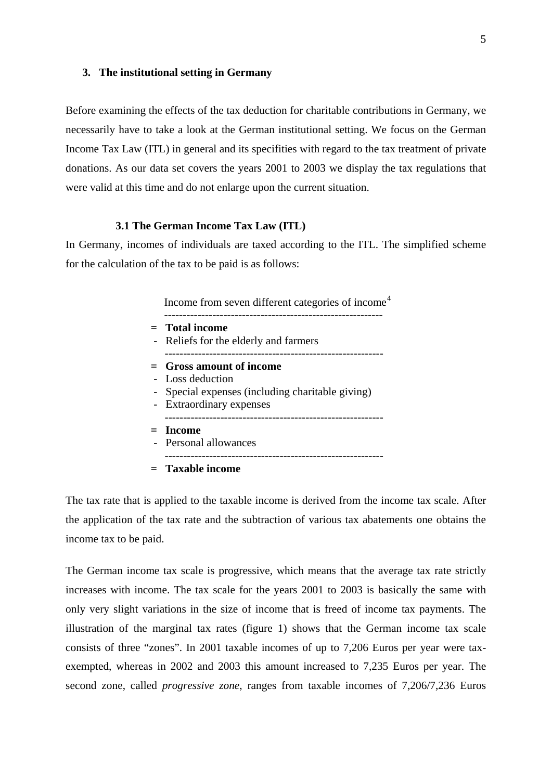## **3. The institutional setting in Germany**

Before examining the effects of the tax deduction for charitable contributions in Germany, we necessarily have to take a look at the German institutional setting. We focus on the German Income Tax Law (ITL) in general and its specifities with regard to the tax treatment of private donations. As our data set covers the years 2001 to 2003 we display the tax regulations that were valid at this time and do not enlarge upon the current situation.

# **3.1 The German Income Tax Law (ITL)**

In Germany, incomes of individuals are taxed according to the ITL. The simplified scheme for the calculation of the tax to be paid is as follows:

Income from seven different categories of income<sup>[4](#page-8-0)</sup>

| $=$ Total income                                 |
|--------------------------------------------------|
| - Reliefs for the elderly and farmers            |
| $=$ Gross amount of income                       |
| - Loss deduction                                 |
|                                                  |
| - Special expenses (including charitable giving) |
| - Extraordinary expenses                         |
| $=$ Income                                       |
|                                                  |

The tax rate that is applied to the taxable income is derived from the income tax scale. After the application of the tax rate and the subtraction of various tax abatements one obtains the income tax to be paid.

<span id="page-8-0"></span>The German income tax scale is progressive, which means that the average tax rate strictly increases with income. The tax scale for the years 2001 to 2003 is basically the same with only very slight variations in the size of income that is freed of income tax payments. The illustration of the marginal tax rates (figure 1) shows that the German income tax scale consists of three "zones". In 2001 taxable incomes of up to 7,206 Euros per year were taxexempted, whereas in 2002 and 2003 this amount increased to 7,235 Euros per year. The second zone, called *progressive zone*, ranges from taxable incomes of 7,206/7,236 Euros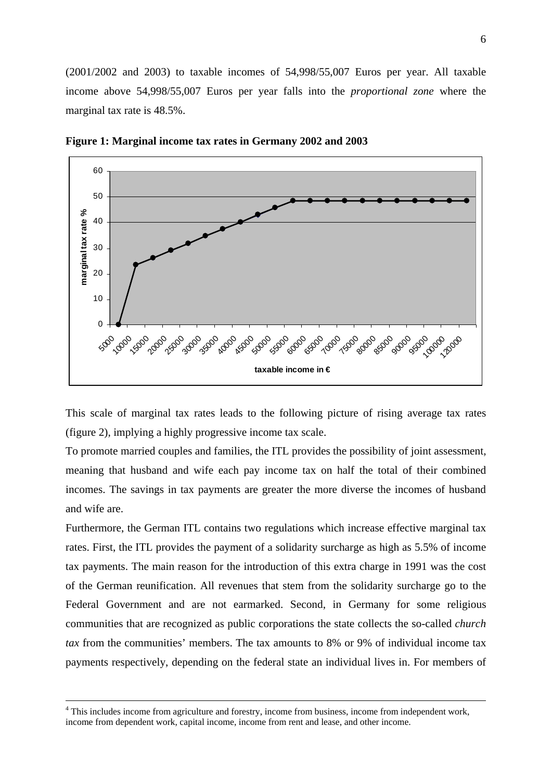(2001/2002 and 2003) to taxable incomes of 54,998/55,007 Euros per year. All taxable income above 54,998/55,007 Euros per year falls into the *proportional zone* where the marginal tax rate is 48.5%.



**Figure 1: Marginal income tax rates in Germany 2002 and 2003** 

This scale of marginal tax rates leads to the following picture of rising average tax rates (figure 2), implying a highly progressive income tax scale.

To promote married couples and families, the ITL provides the possibility of joint assessment, meaning that husband and wife each pay income tax on half the total of their combined incomes. The savings in tax payments are greater the more diverse the incomes of husband and wife are.

Furthermore, the German ITL contains two regulations which increase effective marginal tax rates. First, the ITL provides the payment of a solidarity surcharge as high as 5.5% of income tax payments. The main reason for the introduction of this extra charge in 1991 was the cost of the German reunification. All revenues that stem from the solidarity surcharge go to the Federal Government and are not earmarked. Second, in Germany for some religious communities that are recognized as public corporations the state collects the so-called *church tax* from the communities' members. The tax amounts to 8% or 9% of individual income tax payments respectively, depending on the federal state an individual lives in. For members of

 $\frac{1}{4}$ <sup>4</sup> This includes income from agriculture and forestry, income from business, income from independent work, income from dependent work, capital income, income from rent and lease, and other income.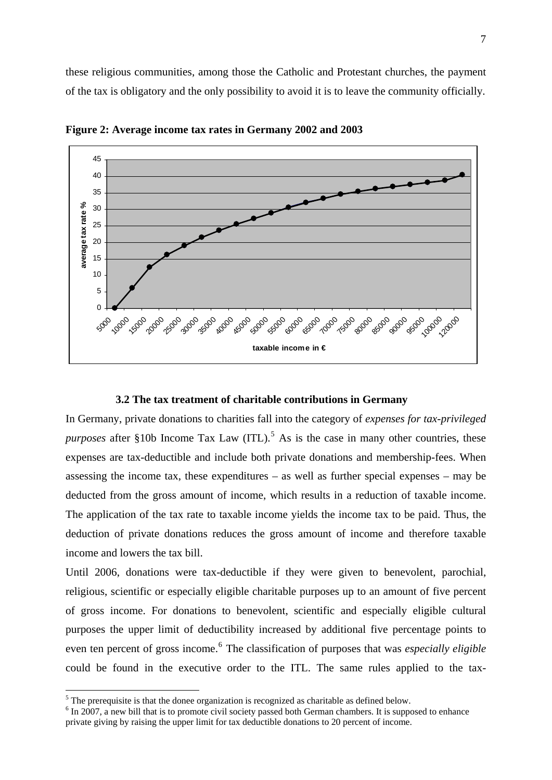these religious communities, among those the Catholic and Protestant churches, the payment of the tax is obligatory and the only possibility to avoid it is to leave the community officially.



**Figure 2: Average income tax rates in Germany 2002 and 2003** 

#### **3.2 The tax treatment of charitable contributions in Germany**

In Germany, private donations to charities fall into the category of *expenses for tax-privileged purposes* after §10b Income Tax Law  $(ITL)$ .<sup>[5](#page-10-0)</sup> As is the case in many other countries, these expenses are tax-deductible and include both private donations and membership-fees. When assessing the income tax, these expenditures – as well as further special expenses – may be deducted from the gross amount of income, which results in a reduction of taxable income. The application of the tax rate to taxable income yields the income tax to be paid. Thus, the deduction of private donations reduces the gross amount of income and therefore taxable income and lowers the tax bill.

Until 2006, donations were tax-deductible if they were given to benevolent, parochial, religious, scientific or especially eligible charitable purposes up to an amount of five percent of gross income. For donations to benevolent, scientific and especially eligible cultural purposes the upper limit of deductibility increased by additional five percentage points to even ten percent of gross income.<sup>[6](#page-10-1)</sup> The classification of purposes that was *especially eligible* could be found in the executive order to the ITL. The same rules applied to the tax-

1

<span id="page-10-0"></span> $<sup>5</sup>$  The prerequisite is that the donee organization is recognized as charitable as defined below.</sup>

<span id="page-10-1"></span> $6$  In 2007, a new bill that is to promote civil society passed both German chambers. It is supposed to enhance private giving by raising the upper limit for tax deductible donations to 20 percent of income.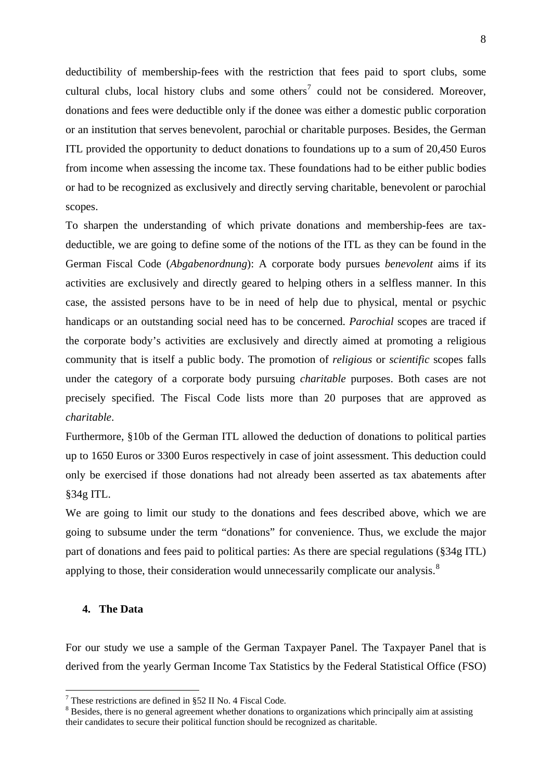deductibility of membership-fees with the restriction that fees paid to sport clubs, some cultural clubs, local history clubs and some others<sup>[7](#page-11-0)</sup> could not be considered. Moreover, donations and fees were deductible only if the donee was either a domestic public corporation or an institution that serves benevolent, parochial or charitable purposes. Besides, the German ITL provided the opportunity to deduct donations to foundations up to a sum of 20,450 Euros from income when assessing the income tax. These foundations had to be either public bodies or had to be recognized as exclusively and directly serving charitable, benevolent or parochial scopes.

To sharpen the understanding of which private donations and membership-fees are taxdeductible, we are going to define some of the notions of the ITL as they can be found in the German Fiscal Code (*Abgabenordnung*): A corporate body pursues *benevolent* aims if its activities are exclusively and directly geared to helping others in a selfless manner. In this case, the assisted persons have to be in need of help due to physical, mental or psychic handicaps or an outstanding social need has to be concerned. *Parochial* scopes are traced if the corporate body's activities are exclusively and directly aimed at promoting a religious community that is itself a public body. The promotion of *religious* or *scientific* scopes falls under the category of a corporate body pursuing *charitable* purposes. Both cases are not precisely specified. The Fiscal Code lists more than 20 purposes that are approved as *charitable*.

Furthermore, §10b of the German ITL allowed the deduction of donations to political parties up to 1650 Euros or 3300 Euros respectively in case of joint assessment. This deduction could only be exercised if those donations had not already been asserted as tax abatements after §34g ITL.

We are going to limit our study to the donations and fees described above, which we are going to subsume under the term "donations" for convenience. Thus, we exclude the major part of donations and fees paid to political parties: As there are special regulations (§34g ITL) applying to those, their consideration would unnecessarily complicate our analysis.<sup>[8](#page-11-1)</sup>

#### **4. The Data**

1

For our study we use a sample of the German Taxpayer Panel. The Taxpayer Panel that is derived from the yearly German Income Tax Statistics by the Federal Statistical Office (FSO)

<span id="page-11-0"></span><sup>7</sup> These restrictions are defined in §52 II No. 4 Fiscal Code.

<span id="page-11-1"></span><sup>&</sup>lt;sup>8</sup> Besides, there is no general agreement whether donations to organizations which principally aim at assisting their candidates to secure their political function should be recognized as charitable.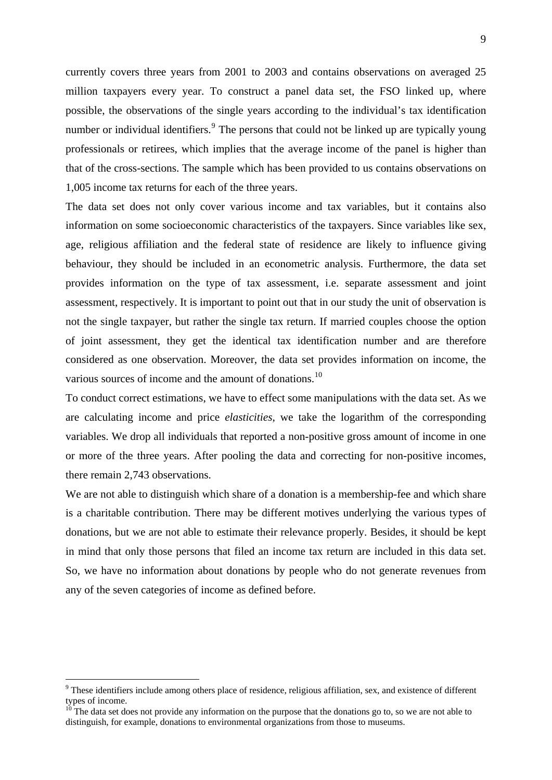currently covers three years from 2001 to 2003 and contains observations on averaged 25 million taxpayers every year. To construct a panel data set, the FSO linked up, where possible, the observations of the single years according to the individual's tax identification number or individual identifiers.<sup>[9](#page-12-0)</sup> The persons that could not be linked up are typically young professionals or retirees, which implies that the average income of the panel is higher than that of the cross-sections. The sample which has been provided to us contains observations on 1,005 income tax returns for each of the three years.

The data set does not only cover various income and tax variables, but it contains also information on some socioeconomic characteristics of the taxpayers. Since variables like sex, age, religious affiliation and the federal state of residence are likely to influence giving behaviour, they should be included in an econometric analysis. Furthermore, the data set provides information on the type of tax assessment, i.e. separate assessment and joint assessment, respectively. It is important to point out that in our study the unit of observation is not the single taxpayer, but rather the single tax return. If married couples choose the option of joint assessment, they get the identical tax identification number and are therefore considered as one observation. Moreover, the data set provides information on income, the various sources of income and the amount of donations.<sup>[10](#page-12-1)</sup>

To conduct correct estimations, we have to effect some manipulations with the data set. As we are calculating income and price *elasticities*, we take the logarithm of the corresponding variables. We drop all individuals that reported a non-positive gross amount of income in one or more of the three years. After pooling the data and correcting for non-positive incomes, there remain 2,743 observations.

We are not able to distinguish which share of a donation is a membership-fee and which share is a charitable contribution. There may be different motives underlying the various types of donations, but we are not able to estimate their relevance properly. Besides, it should be kept in mind that only those persons that filed an income tax return are included in this data set. So, we have no information about donations by people who do not generate revenues from any of the seven categories of income as defined before.

1

<span id="page-12-0"></span><sup>&</sup>lt;sup>9</sup> These identifiers include among others place of residence, religious affiliation, sex, and existence of different types of income.

<span id="page-12-1"></span> $10$ <sup>The</sup> data set does not provide any information on the purpose that the donations go to, so we are not able to distinguish, for example, donations to environmental organizations from those to museums.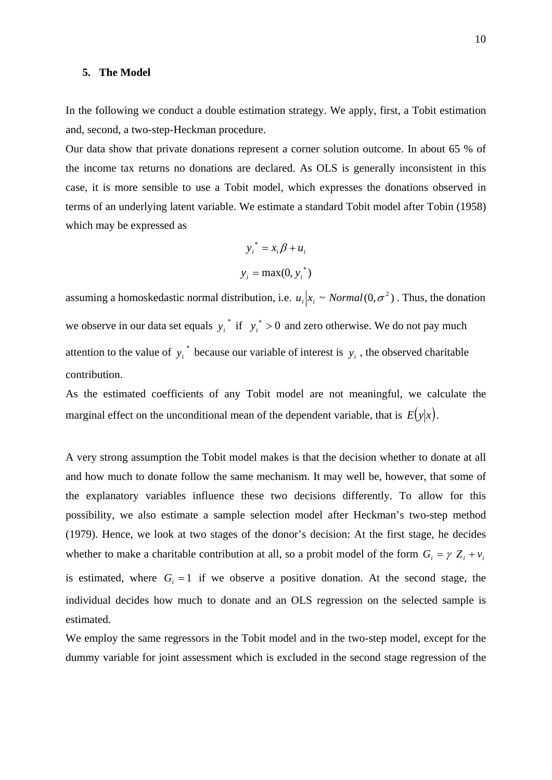### **5. The Model**

In the following we conduct a double estimation strategy. We apply, first, a Tobit estimation and, second, a two-step-Heckman procedure.

Our data show that private donations represent a corner solution outcome. In about 65 % of the income tax returns no donations are declared. As OLS is generally inconsistent in this case, it is more sensible to use a Tobit model, which expresses the donations observed in terms of an underlying latent variable. We estimate a standard Tobit model after Tobin (1958) which may be expressed as

$$
y_i^* = x_i \beta + u_i
$$
  

$$
y_i = \max(0, y_i^*)
$$

assuming a homoskedastic normal distribution, i.e.  $u_i | x_i \sim Normal(0, \sigma^2)$ . Thus, the donation we observe in our data set equals  $y_i^*$  if  $y_i^* > 0$  and zero otherwise. We do not pay much attention to the value of  $y_i^*$  because our variable of interest is  $y_i$ , the observed charitable contribution.

As the estimated coefficients of any Tobit model are not meaningful, we calculate the marginal effect on the unconditional mean of the dependent variable, that is  $E(y|x)$ .

A very strong assumption the Tobit model makes is that the decision whether to donate at all and how much to donate follow the same mechanism. It may well be, however, that some of the explanatory variables influence these two decisions differently. To allow for this possibility, we also estimate a sample selection model after Heckman's two-step method (1979). Hence, we look at two stages of the donor's decision: At the first stage, he decides whether to make a charitable contribution at all, so a probit model of the form  $G_i = \gamma Z_i + v_i$ is estimated, where  $G_i = 1$  if we observe a positive donation. At the second stage, the individual decides how much to donate and an OLS regression on the selected sample is estimated.

We employ the same regressors in the Tobit model and in the two-step model, except for the dummy variable for joint assessment which is excluded in the second stage regression of the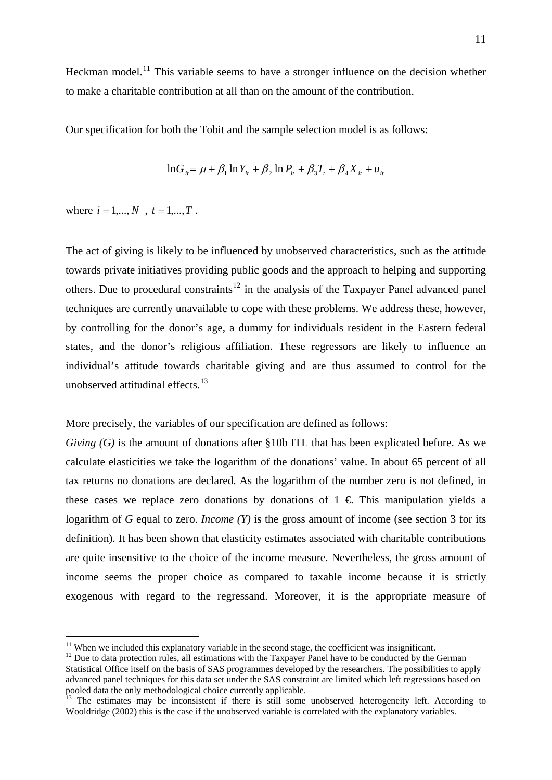Heckman model.<sup>[11](#page-14-0)</sup> This variable seems to have a stronger influence on the decision whether to make a charitable contribution at all than on the amount of the contribution.

Our specification for both the Tobit and the sample selection model is as follows:

$$
\ln G_{it} = \mu + \beta_1 \ln Y_{it} + \beta_2 \ln P_{it} + \beta_3 T_t + \beta_4 X_{it} + u_{it}
$$

where  $i = 1,...,N$ ,  $t = 1,...,T$ .

The act of giving is likely to be influenced by unobserved characteristics, such as the attitude towards private initiatives providing public goods and the approach to helping and supporting others. Due to procedural constraints<sup>[12](#page-14-1)</sup> in the analysis of the Taxpayer Panel advanced panel techniques are currently unavailable to cope with these problems. We address these, however, by controlling for the donor's age, a dummy for individuals resident in the Eastern federal states, and the donor's religious affiliation. These regressors are likely to influence an individual's attitude towards charitable giving and are thus assumed to control for the unobserved attitudinal effects.<sup>[13](#page-14-2)</sup>

More precisely, the variables of our specification are defined as follows:

*Giving (G)* is the amount of donations after §10b ITL that has been explicated before. As we calculate elasticities we take the logarithm of the donations' value. In about 65 percent of all tax returns no donations are declared. As the logarithm of the number zero is not defined, in these cases we replace zero donations by donations of  $1 \in \mathbb{R}$ . This manipulation yields a logarithm of *G* equal to zero. *Income (Y)* is the gross amount of income (see section 3 for its definition). It has been shown that elasticity estimates associated with charitable contributions are quite insensitive to the choice of the income measure. Nevertheless, the gross amount of income seems the proper choice as compared to taxable income because it is strictly exogenous with regard to the regressand. Moreover, it is the appropriate measure of

<span id="page-14-0"></span> $11$  When we included this explanatory variable in the second stage, the coefficient was insignificant.

<span id="page-14-1"></span> $12$  Due to data protection rules, all estimations with the Taxpayer Panel have to be conducted by the German Statistical Office itself on the basis of SAS programmes developed by the researchers. The possibilities to apply advanced panel techniques for this data set under the SAS constraint are limited which left regressions based on pooled data the only methodological choice currently applicable.

<span id="page-14-2"></span> $\overline{13}$  The estimates may be inconsistent if there is still some unobserved heterogeneity left. According to Wooldridge (2002) this is the case if the unobserved variable is correlated with the explanatory variables.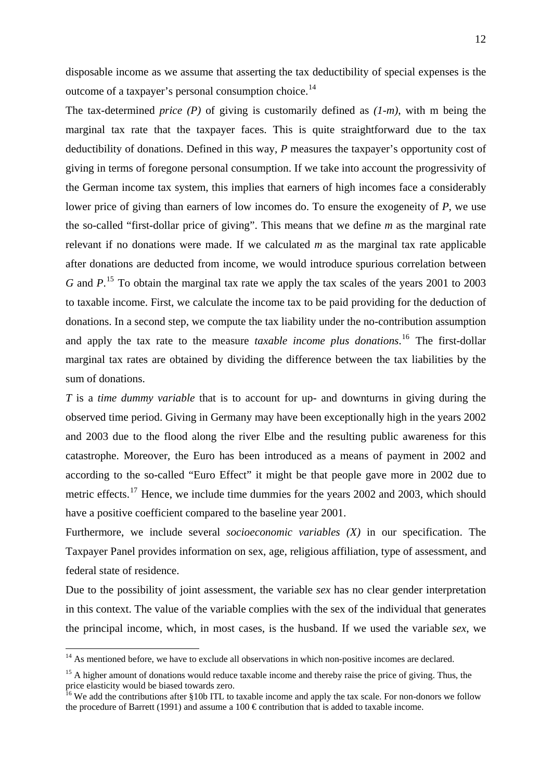disposable income as we assume that asserting the tax deductibility of special expenses is the outcome of a taxpayer's personal consumption choice.<sup>[14](#page-15-0)</sup>

The tax-determined *price (P)* of giving is customarily defined as *(1-m)*, with m being the marginal tax rate that the taxpayer faces. This is quite straightforward due to the tax deductibility of donations. Defined in this way, *P* measures the taxpayer's opportunity cost of giving in terms of foregone personal consumption. If we take into account the progressivity of the German income tax system, this implies that earners of high incomes face a considerably lower price of giving than earners of low incomes do. To ensure the exogeneity of *P*, we use the so-called "first-dollar price of giving". This means that we define *m* as the marginal rate relevant if no donations were made. If we calculated *m* as the marginal tax rate applicable after donations are deducted from income, we would introduce spurious correlation between *G* and *P*<sup>[15](#page-15-1)</sup>. To obtain the marginal tax rate we apply the tax scales of the years 2001 to 2003 to taxable income. First, we calculate the income tax to be paid providing for the deduction of donations. In a second step, we compute the tax liability under the no-contribution assumption and apply the tax rate to the measure *taxable income plus donations*. [16](#page-15-2) The first-dollar marginal tax rates are obtained by dividing the difference between the tax liabilities by the sum of donations.

*T* is a *time dummy variable* that is to account for up- and downturns in giving during the observed time period. Giving in Germany may have been exceptionally high in the years 2002 and 2003 due to the flood along the river Elbe and the resulting public awareness for this catastrophe. Moreover, the Euro has been introduced as a means of payment in 2002 and according to the so-called "Euro Effect" it might be that people gave more in 2002 due to metric effects.<sup>[17](#page-15-3)</sup> Hence, we include time dummies for the years 2002 and 2003, which should have a positive coefficient compared to the baseline year 2001.

Furthermore, we include several *socioeconomic variables (X)* in our specification. The Taxpayer Panel provides information on sex, age, religious affiliation, type of assessment, and federal state of residence.

Due to the possibility of joint assessment, the variable *sex* has no clear gender interpretation in this context. The value of the variable complies with the sex of the individual that generates the principal income, which, in most cases, is the husband. If we used the variable *sex*, we

<u>.</u>

<span id="page-15-0"></span> $14$  As mentioned before, we have to exclude all observations in which non-positive incomes are declared.

<span id="page-15-1"></span><sup>&</sup>lt;sup>15</sup> A higher amount of donations would reduce taxable income and thereby raise the price of giving. Thus, the price elasticity would be biased towards zero.<br><sup>16</sup> We add the contributions after §10b ITL to taxable income and apply the tax scale. For non-donors we follow

<span id="page-15-3"></span><span id="page-15-2"></span>the procedure of Barrett (1991) and assume a 100  $\epsilon$  contribution that is added to taxable income.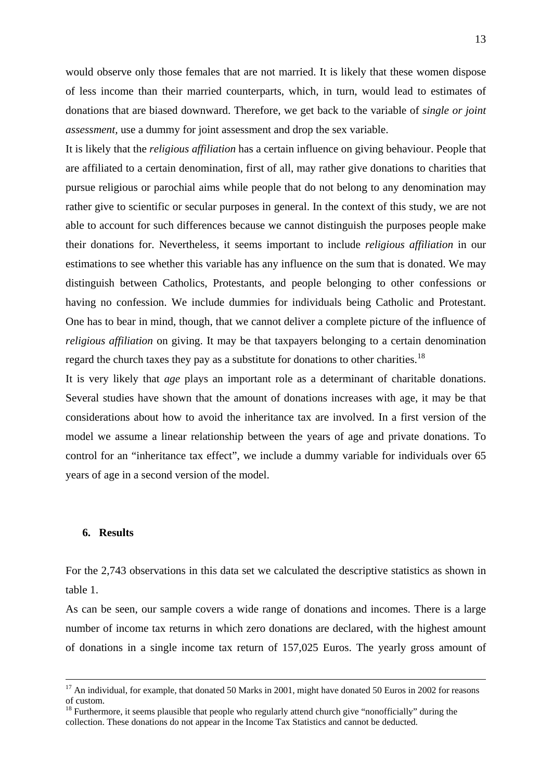would observe only those females that are not married. It is likely that these women dispose of less income than their married counterparts, which, in turn, would lead to estimates of donations that are biased downward. Therefore, we get back to the variable of *single or joint assessment,* use a dummy for joint assessment and drop the sex variable.

It is likely that the *religious affiliation* has a certain influence on giving behaviour. People that are affiliated to a certain denomination, first of all, may rather give donations to charities that pursue religious or parochial aims while people that do not belong to any denomination may rather give to scientific or secular purposes in general. In the context of this study, we are not able to account for such differences because we cannot distinguish the purposes people make their donations for. Nevertheless, it seems important to include *religious affiliation* in our estimations to see whether this variable has any influence on the sum that is donated. We may distinguish between Catholics, Protestants, and people belonging to other confessions or having no confession. We include dummies for individuals being Catholic and Protestant. One has to bear in mind, though, that we cannot deliver a complete picture of the influence of *religious affiliation* on giving. It may be that taxpayers belonging to a certain denomination regard the church taxes they pay as a substitute for donations to other charities.<sup>[18](#page-16-0)</sup>

It is very likely that *age* plays an important role as a determinant of charitable donations. Several studies have shown that the amount of donations increases with age, it may be that considerations about how to avoid the inheritance tax are involved. In a first version of the model we assume a linear relationship between the years of age and private donations. To control for an "inheritance tax effect", we include a dummy variable for individuals over 65 years of age in a second version of the model.

#### **6. Results**

For the 2,743 observations in this data set we calculated the descriptive statistics as shown in table 1.

As can be seen, our sample covers a wide range of donations and incomes. There is a large number of income tax returns in which zero donations are declared, with the highest amount of donations in a single income tax return of 157,025 Euros. The yearly gross amount of

<sup>&</sup>lt;sup>17</sup> An individual, for example, that donated 50 Marks in 2001, might have donated 50 Euros in 2002 for reasons of custom.

<span id="page-16-0"></span><sup>&</sup>lt;sup>18</sup> Furthermore, it seems plausible that people who regularly attend church give "nonofficially" during the collection. These donations do not appear in the Income Tax Statistics and cannot be deducted.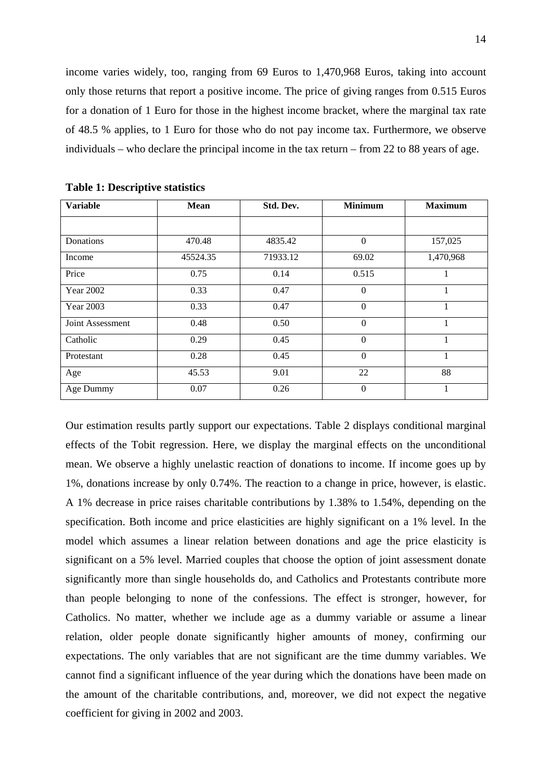income varies widely, too, ranging from 69 Euros to 1,470,968 Euros, taking into account only those returns that report a positive income. The price of giving ranges from 0.515 Euros for a donation of 1 Euro for those in the highest income bracket, where the marginal tax rate of 48.5 % applies, to 1 Euro for those who do not pay income tax. Furthermore, we observe individuals – who declare the principal income in the tax return – from 22 to 88 years of age.

| <b>Variable</b>  | <b>Mean</b> | Std. Dev. | <b>Minimum</b> | <b>Maximum</b> |
|------------------|-------------|-----------|----------------|----------------|
|                  |             |           |                |                |
| Donations        | 470.48      | 4835.42   | 0              | 157,025        |
| Income           | 45524.35    | 71933.12  | 69.02          | 1,470,968      |
| Price            | 0.75        | 0.14      | 0.515          | 1              |
| <b>Year 2002</b> | 0.33        | 0.47      | $\theta$       | 1              |
| Year 2003        | 0.33        | 0.47      | $\theta$       | 1              |
| Joint Assessment | 0.48        | 0.50      | $\theta$       | 1              |
| Catholic         | 0.29        | 0.45      | $\theta$       | 1              |
| Protestant       | 0.28        | 0.45      | $\theta$       | 1              |
| Age              | 45.53       | 9.01      | 22             | 88             |
| Age Dummy        | 0.07        | 0.26      | $\theta$       | 1              |

Our estimation results partly support our expectations. Table 2 displays conditional marginal effects of the Tobit regression. Here, we display the marginal effects on the unconditional mean. We observe a highly unelastic reaction of donations to income. If income goes up by 1%, donations increase by only 0.74%. The reaction to a change in price, however, is elastic. A 1% decrease in price raises charitable contributions by 1.38% to 1.54%, depending on the specification. Both income and price elasticities are highly significant on a 1% level. In the model which assumes a linear relation between donations and age the price elasticity is significant on a 5% level. Married couples that choose the option of joint assessment donate significantly more than single households do, and Catholics and Protestants contribute more than people belonging to none of the confessions. The effect is stronger, however, for Catholics. No matter, whether we include age as a dummy variable or assume a linear relation, older people donate significantly higher amounts of money, confirming our expectations. The only variables that are not significant are the time dummy variables. We cannot find a significant influence of the year during which the donations have been made on the amount of the charitable contributions, and, moreover, we did not expect the negative coefficient for giving in 2002 and 2003.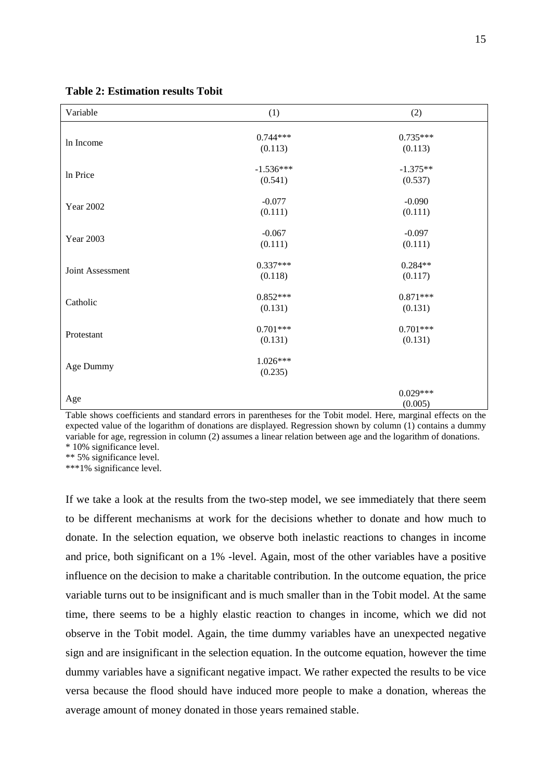| Variable         | (1)                    | (2)                   |
|------------------|------------------------|-----------------------|
| In Income        | $0.744***$<br>(0.113)  | $0.735***$<br>(0.113) |
| In Price         | $-1.536***$<br>(0.541) | $-1.375**$<br>(0.537) |
| <b>Year 2002</b> | $-0.077$<br>(0.111)    | $-0.090$<br>(0.111)   |
| <b>Year 2003</b> | $-0.067$<br>(0.111)    | $-0.097$<br>(0.111)   |
| Joint Assessment | $0.337***$<br>(0.118)  | $0.284**$<br>(0.117)  |
| Catholic         | $0.852***$<br>(0.131)  | $0.871***$<br>(0.131) |
| Protestant       | $0.701***$<br>(0.131)  | $0.701***$<br>(0.131) |
| Age Dummy        | $1.026***$<br>(0.235)  |                       |
| Age              |                        | $0.029***$<br>(0.005) |

## **Table 2: Estimation results Tobit**

Table shows coefficients and standard errors in parentheses for the Tobit model. Here, marginal effects on the expected value of the logarithm of donations are displayed. Regression shown by column (1) contains a dummy variable for age, regression in column (2) assumes a linear relation between age and the logarithm of donations. \* 10% significance level.

\*\* 5% significance level.

\*\*\*1% significance level.

If we take a look at the results from the two-step model, we see immediately that there seem to be different mechanisms at work for the decisions whether to donate and how much to donate. In the selection equation, we observe both inelastic reactions to changes in income and price, both significant on a 1% -level. Again, most of the other variables have a positive influence on the decision to make a charitable contribution. In the outcome equation, the price variable turns out to be insignificant and is much smaller than in the Tobit model. At the same time, there seems to be a highly elastic reaction to changes in income, which we did not observe in the Tobit model. Again, the time dummy variables have an unexpected negative sign and are insignificant in the selection equation. In the outcome equation, however the time dummy variables have a significant negative impact. We rather expected the results to be vice versa because the flood should have induced more people to make a donation, whereas the average amount of money donated in those years remained stable.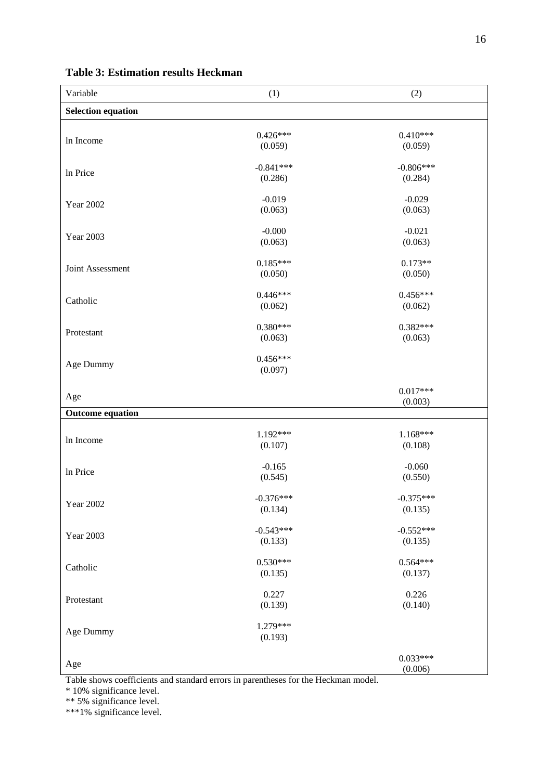| Variable                  | (1)                    | (2)                    |
|---------------------------|------------------------|------------------------|
| <b>Selection equation</b> |                        |                        |
| In Income                 | $0.426***$<br>(0.059)  | $0.410***$<br>(0.059)  |
| In Price                  | $-0.841***$<br>(0.286) | $-0.806***$<br>(0.284) |
| <b>Year 2002</b>          | $-0.019$<br>(0.063)    | $-0.029$<br>(0.063)    |
| Year 2003                 | $-0.000$<br>(0.063)    | $-0.021$<br>(0.063)    |
| Joint Assessment          | $0.185***$<br>(0.050)  | $0.173**$<br>(0.050)   |
| Catholic                  | $0.446***$<br>(0.062)  | $0.456***$<br>(0.062)  |
| Protestant                | $0.380***$<br>(0.063)  | $0.382***$<br>(0.063)  |
| Age Dummy                 | $0.456***$<br>(0.097)  |                        |
| Age                       |                        | $0.017***$<br>(0.003)  |
| <b>Outcome equation</b>   |                        |                        |
| In Income                 | 1.192***<br>(0.107)    | $1.168***$<br>(0.108)  |
| In Price                  | $-0.165$<br>(0.545)    | $-0.060$<br>(0.550)    |
| <b>Year 2002</b>          | $-0.376***$<br>(0.134) | $-0.375***$<br>(0.135) |
| Year 2003                 | $-0.543***$<br>(0.133) | $-0.552***$<br>(0.135) |
| Catholic                  | $0.530***$<br>(0.135)  | $0.564***$<br>(0.137)  |
| Protestant                | 0.227<br>(0.139)       | 0.226<br>(0.140)       |
| Age Dummy                 | 1.279***<br>(0.193)    |                        |
| Age<br>$\sim$             |                        | $0.033***$<br>(0.006)  |

# **Table 3: Estimation results Heckman**

Table shows coefficients and standard errors in parentheses for the Heckman model.

\* 10% significance level.

\*\* 5% significance level.

\*\*\*1% significance level.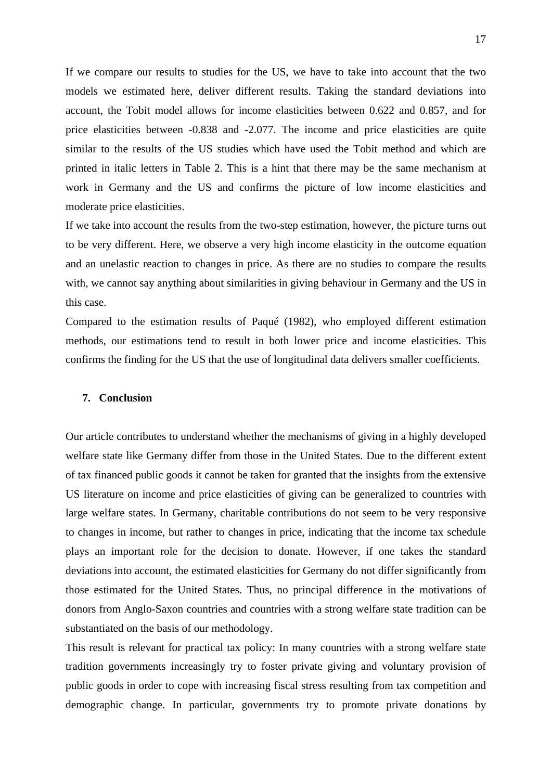If we compare our results to studies for the US, we have to take into account that the two models we estimated here, deliver different results. Taking the standard deviations into account, the Tobit model allows for income elasticities between 0.622 and 0.857, and for price elasticities between -0.838 and -2.077. The income and price elasticities are quite similar to the results of the US studies which have used the Tobit method and which are printed in italic letters in Table 2. This is a hint that there may be the same mechanism at work in Germany and the US and confirms the picture of low income elasticities and moderate price elasticities.

If we take into account the results from the two-step estimation, however, the picture turns out to be very different. Here, we observe a very high income elasticity in the outcome equation and an unelastic reaction to changes in price. As there are no studies to compare the results with, we cannot say anything about similarities in giving behaviour in Germany and the US in this case.

Compared to the estimation results of Paqué (1982), who employed different estimation methods, our estimations tend to result in both lower price and income elasticities. This confirms the finding for the US that the use of longitudinal data delivers smaller coefficients.

## **7. Conclusion**

Our article contributes to understand whether the mechanisms of giving in a highly developed welfare state like Germany differ from those in the United States. Due to the different extent of tax financed public goods it cannot be taken for granted that the insights from the extensive US literature on income and price elasticities of giving can be generalized to countries with large welfare states. In Germany, charitable contributions do not seem to be very responsive to changes in income, but rather to changes in price, indicating that the income tax schedule plays an important role for the decision to donate. However, if one takes the standard deviations into account, the estimated elasticities for Germany do not differ significantly from those estimated for the United States. Thus, no principal difference in the motivations of donors from Anglo-Saxon countries and countries with a strong welfare state tradition can be substantiated on the basis of our methodology.

This result is relevant for practical tax policy: In many countries with a strong welfare state tradition governments increasingly try to foster private giving and voluntary provision of public goods in order to cope with increasing fiscal stress resulting from tax competition and demographic change. In particular, governments try to promote private donations by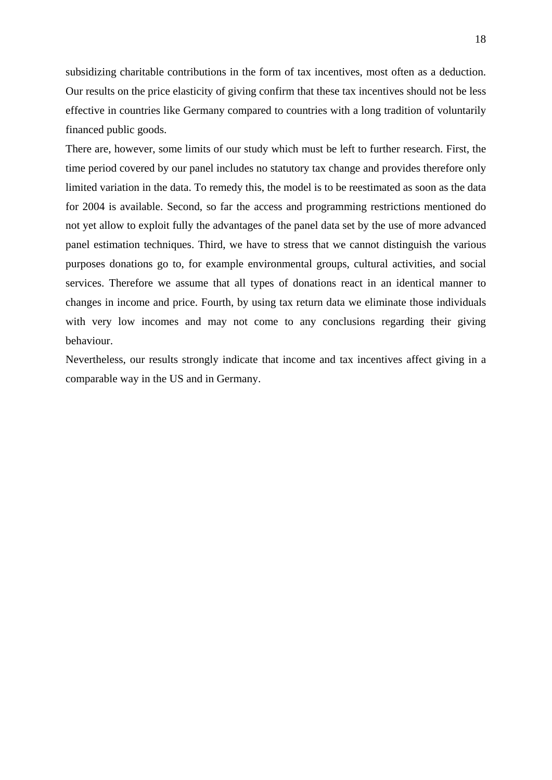subsidizing charitable contributions in the form of tax incentives, most often as a deduction. Our results on the price elasticity of giving confirm that these tax incentives should not be less effective in countries like Germany compared to countries with a long tradition of voluntarily financed public goods.

There are, however, some limits of our study which must be left to further research. First, the time period covered by our panel includes no statutory tax change and provides therefore only limited variation in the data. To remedy this, the model is to be reestimated as soon as the data for 2004 is available. Second, so far the access and programming restrictions mentioned do not yet allow to exploit fully the advantages of the panel data set by the use of more advanced panel estimation techniques. Third, we have to stress that we cannot distinguish the various purposes donations go to, for example environmental groups, cultural activities, and social services. Therefore we assume that all types of donations react in an identical manner to changes in income and price. Fourth, by using tax return data we eliminate those individuals with very low incomes and may not come to any conclusions regarding their giving behaviour.

Nevertheless, our results strongly indicate that income and tax incentives affect giving in a comparable way in the US and in Germany.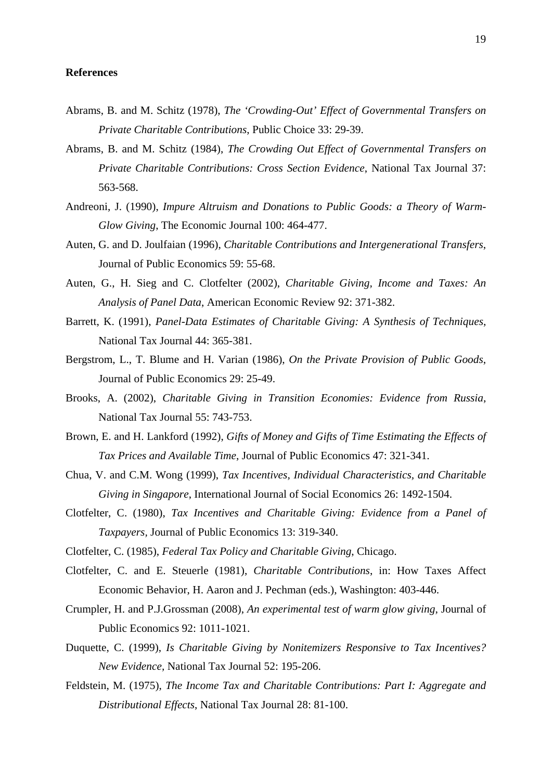#### **References**

- Abrams, B. and M. Schitz (1978), *The 'Crowding-Out' Effect of Governmental Transfers on Private Charitable Contributions*, Public Choice 33: 29-39.
- Abrams, B. and M. Schitz (1984), *The Crowding Out Effect of Governmental Transfers on Private Charitable Contributions: Cross Section Evidence*, National Tax Journal 37: 563-568.
- Andreoni, J. (1990), *Impure Altruism and Donations to Public Goods: a Theory of Warm-Glow Giving*, The Economic Journal 100: 464-477.
- Auten, G. and D. Joulfaian (1996), *Charitable Contributions and Intergenerational Transfers*, Journal of Public Economics 59: 55-68.
- Auten, G., H. Sieg and C. Clotfelter (2002), *Charitable Giving, Income and Taxes: An Analysis of Panel Data*, American Economic Review 92: 371-382.
- Barrett, K. (1991), *Panel-Data Estimates of Charitable Giving: A Synthesis of Techniques*, National Tax Journal 44: 365-381.
- Bergstrom, L., T. Blume and H. Varian (1986), *On the Private Provision of Public Goods*, Journal of Public Economics 29: 25-49.
- Brooks, A. (2002), *Charitable Giving in Transition Economies: Evidence from Russia*, National Tax Journal 55: 743-753.
- Brown, E. and H. Lankford (1992), *Gifts of Money and Gifts of Time Estimating the Effects of Tax Prices and Available Time*, Journal of Public Economics 47: 321-341.
- Chua, V. and C.M. Wong (1999), *Tax Incentives, Individual Characteristics, and Charitable Giving in Singapore*, International Journal of Social Economics 26: 1492-1504.
- Clotfelter, C. (1980), *Tax Incentives and Charitable Giving: Evidence from a Panel of Taxpayers,* Journal of Public Economics 13: 319-340.
- Clotfelter, C. (1985), *Federal Tax Policy and Charitable Giving*, Chicago.
- Clotfelter, C. and E. Steuerle (1981), *Charitable Contributions*, in: How Taxes Affect Economic Behavior, H. Aaron and J. Pechman (eds.), Washington: 403-446.
- Crumpler, H. and P.J.Grossman (2008), *An experimental test of warm glow giving*, Journal of Public Economics 92: 1011-1021.
- Duquette, C. (1999), *Is Charitable Giving by Nonitemizers Responsive to Tax Incentives? New Evidence,* National Tax Journal 52: 195-206.
- Feldstein, M. (1975), *The Income Tax and Charitable Contributions: Part I: Aggregate and Distributional Effects*, National Tax Journal 28: 81-100.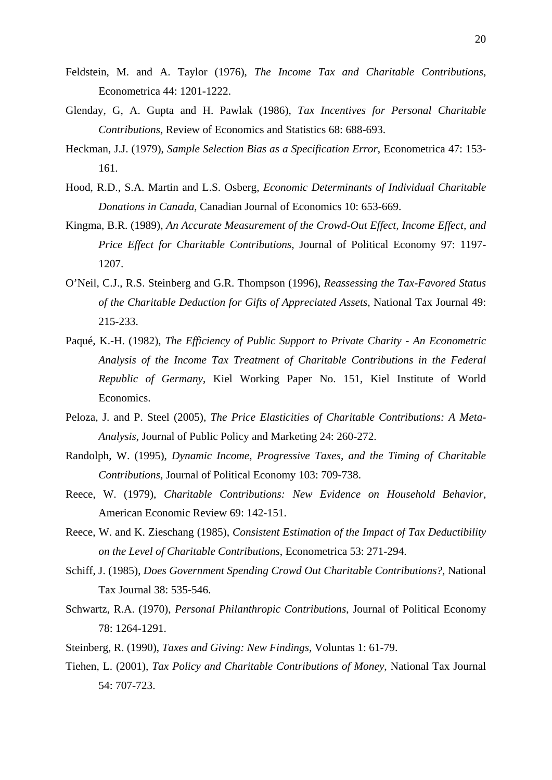- Feldstein, M. and A. Taylor (1976), *The Income Tax and Charitable Contributions*, Econometrica 44: 1201-1222.
- Glenday, G, A. Gupta and H. Pawlak (1986), *Tax Incentives for Personal Charitable Contributions*, Review of Economics and Statistics 68: 688-693.
- Heckman, J.J. (1979), *Sample Selection Bias as a Specification Error*, Econometrica 47: 153- 161.
- Hood, R.D., S.A. Martin and L.S. Osberg, *Economic Determinants of Individual Charitable Donations in Canada*, Canadian Journal of Economics 10: 653-669.
- Kingma, B.R. (1989), *An Accurate Measurement of the Crowd-Out Effect, Income Effect, and Price Effect for Charitable Contributions*, Journal of Political Economy 97: 1197- 1207.
- O'Neil, C.J., R.S. Steinberg and G.R. Thompson (1996), *Reassessing the Tax-Favored Status of the Charitable Deduction for Gifts of Appreciated Assets*, National Tax Journal 49: 215-233.
- Paqué, K.-H. (1982), *The Efficiency of Public Support to Private Charity An Econometric Analysis of the Income Tax Treatment of Charitable Contributions in the Federal Republic of Germany*, Kiel Working Paper No. 151, Kiel Institute of World Economics.
- Peloza, J. and P. Steel (2005), *The Price Elasticities of Charitable Contributions: A Meta-Analysis*, Journal of Public Policy and Marketing 24: 260-272.
- Randolph, W. (1995), *Dynamic Income, Progressive Taxes, and the Timing of Charitable Contributions*, Journal of Political Economy 103: 709-738.
- Reece, W. (1979), *Charitable Contributions: New Evidence on Household Behavior*, American Economic Review 69: 142-151.
- Reece, W. and K. Zieschang (1985), *Consistent Estimation of the Impact of Tax Deductibility on the Level of Charitable Contributions*, Econometrica 53: 271-294.
- Schiff, J. (1985), *Does Government Spending Crowd Out Charitable Contributions?*, National Tax Journal 38: 535-546.
- Schwartz, R.A. (1970), *Personal Philanthropic Contributions*, Journal of Political Economy 78: 1264-1291.
- Steinberg, R. (1990), *Taxes and Giving: New Findings,* Voluntas 1: 61-79.
- Tiehen, L. (2001), *Tax Policy and Charitable Contributions of Money*, National Tax Journal 54: 707-723.